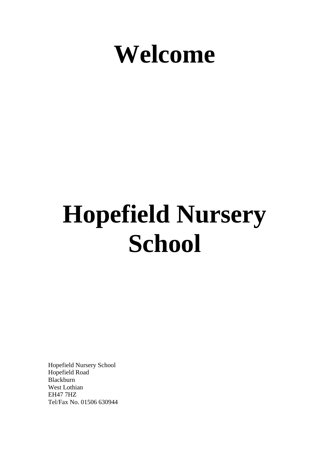

# **Hopefield Nursery School**

Hopefield Nursery School Hopefield Road Blackburn West Lothian EH47 7HZ Tel/Fax No. 01506 630944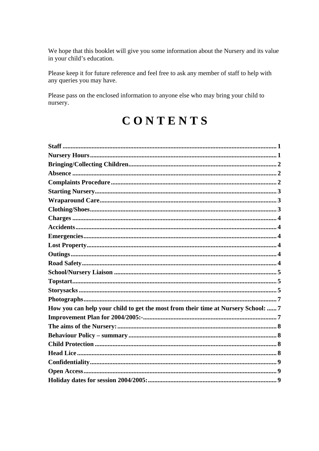We hope that this booklet will give you some information about the Nursery and its value in your child's education.

Please keep it for future reference and feel free to ask any member of staff to help with any queries you may have.

Please pass on the enclosed information to anyone else who may bring your child to nursery.

# CONTENTS

| How you can help your child to get the most from their time at Nursery School:  7 |  |
|-----------------------------------------------------------------------------------|--|
|                                                                                   |  |
|                                                                                   |  |
|                                                                                   |  |
|                                                                                   |  |
|                                                                                   |  |
|                                                                                   |  |
|                                                                                   |  |
|                                                                                   |  |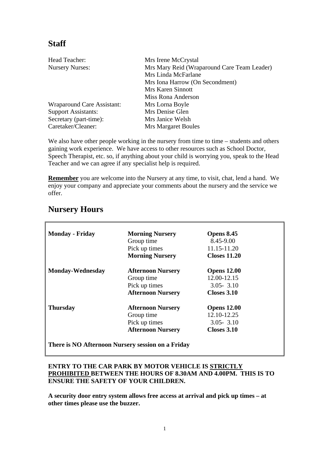### <span id="page-2-0"></span>**Staff**

| Head Teacher:                     | Mrs Irene McCrystal                         |  |
|-----------------------------------|---------------------------------------------|--|
| <b>Nursery Nurses:</b>            | Mrs Mary Reid (Wraparound Care Team Leader) |  |
|                                   | Mrs Linda McFarlane                         |  |
|                                   | Mrs Iona Harrow (On Secondment)             |  |
|                                   | Mrs Karen Sinnott                           |  |
|                                   | Miss Rona Anderson                          |  |
| <b>Wraparound Care Assistant:</b> | Mrs Lorna Boyle                             |  |
| <b>Support Assistants:</b>        | Mrs Denise Glen                             |  |
| Secretary (part-time):            | Mrs Janice Welsh                            |  |
| Caretaker/Cleaner:                | <b>Mrs Margaret Boules</b>                  |  |

We also have other people working in the nursery from time to time – students and others gaining work experience. We have access to other resources such as School Doctor, Speech Therapist, etc. so, if anything about your child is worrying you, speak to the Head Teacher and we can agree if any specialist help is required.

**Remember** you are welcome into the Nursery at any time, to visit, chat, lend a hand. We enjoy your company and appreciate your comments about the nursery and the service we offer.

<span id="page-2-1"></span>

| <b>Nursery Hours</b> |  |
|----------------------|--|
|----------------------|--|

| <b>Monday - Friday</b>  | <b>Morning Nursery</b>   | <b>Opens 8.45</b>   |
|-------------------------|--------------------------|---------------------|
|                         | Group time               | 8.45-9.00           |
|                         | Pick up times            | 11.15-11.20         |
|                         | <b>Morning Nursery</b>   | <b>Closes 11.20</b> |
| <b>Monday-Wednesday</b> | <b>Afternoon Nursery</b> | <b>Opens 12.00</b>  |
|                         | Group time               | 12.00-12.15         |
|                         | Pick up times            | $3.05 - 3.10$       |
|                         | <b>Afternoon Nursery</b> | Closes 3.10         |
| <b>Thursday</b>         | <b>Afternoon Nursery</b> | <b>Opens 12.00</b>  |
|                         | Group time               | 12.10-12.25         |
|                         | Pick up times            | $3.05 - 3.10$       |
|                         | <b>Afternoon Nursery</b> | <b>Closes 3.10</b>  |

**There is NO Afternoon Nursery session on a Friday** 

#### **ENTRY TO THE CAR PARK BY MOTOR VEHICLE IS STRICTLY PROHIBITED BETWEEN THE HOURS OF 8.30AM AND 4.00PM. THIS IS TO ENSURE THE SAFETY OF YOUR CHILDREN.**

**A security door entry system allows free access at arrival and pick up times – at other times please use the buzzer.**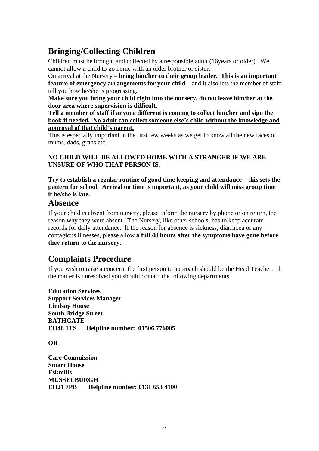# <span id="page-3-0"></span>**Bringing/Collecting Children**

Children must be brought and collected by a responsible adult (16years or older). We cannot allow a child to go home with an older brother or sister.

On arrival at the Nursery – **bring him/her to their group leader. This is an important feature of emergency arrangements for your child** – and it also lets the member of staff tell you how he/she is progressing.

**Make sure you bring your child right into the nursery, do not leave him/her at the door area where supervision is difficult.** 

**Tell a member of staff if anyone different is coming to collect him/her and sign the book if needed. No adult can collect someone else's child without the knowledge and approval of that child's parent.** 

This is especially important in the first few weeks as we get to know all the new faces of mums, dads, grans etc.

#### **NO CHILD WILL BE ALLOWED HOME WITH A STRANGER IF WE ARE UNSURE OF WHO THAT PERSON IS.**

**Try to establish a regular routine of good time keeping and attendance – this sets the pattern for school. Arrival on time is important, as your child will miss group time if he/she is late.** 

#### <span id="page-3-1"></span>**Absence**

If your child is absent from nursery, please inform the nursery by phone or on return, the reason why they were absent. The Nursery, like other schools, has to keep accurate records for daily attendance. If the reason for absence is sickness, diarrhoea or any contagious illnesses, please allow **a full 48 hours after the symptoms have gone before they return to the nursery.** 

#### <span id="page-3-2"></span>**Complaints Procedure**

If you wish to raise a concern, the first person to approach should be the Head Teacher. If the matter is unresolved you should contact the following departments.

**Education Services Support Services Manager Lindsay House South Bridge Street BATHGATE EH48 1TS Helpline number: 01506 776005** 

**OR** 

**Care Commission Stuart House Eskmills MUSSELBURGH EH21 7PB Helpline number: 0131 653 4100**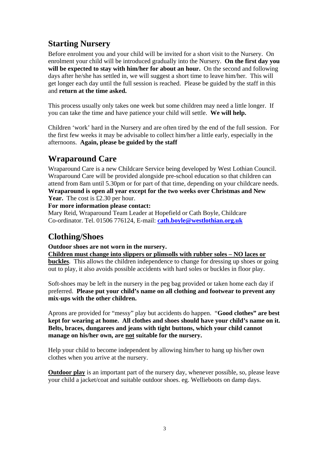## <span id="page-4-0"></span>**Starting Nursery**

Before enrolment you and your child will be invited for a short visit to the Nursery. On enrolment your child will be introduced gradually into the Nursery. **On the first day you will be expected to stay with him/her for about an hour.** On the second and following days after he/she has settled in, we will suggest a short time to leave him/her. This will get longer each day until the full session is reached. Please be guided by the staff in this and **return at the time asked.**

This process usually only takes one week but some children may need a little longer. If you can take the time and have patience your child will settle. **We will help.**

Children 'work' hard in the Nursery and are often tired by the end of the full session. For the first few weeks it may be advisable to collect him/her a little early, especially in the afternoons. **Again, please be guided by the staff** 

#### <span id="page-4-1"></span>**Wraparound Care**

Wraparound Care is a new Childcare Service being developed by West Lothian Council. Wraparound Care will be provided alongside pre-school education so that children can attend from 8am until 5.30pm or for part of that time, depending on your childcare needs. **Wraparound is open all year except for the two weeks over Christmas and New Year.** The cost is £2.30 per hour.

#### **For more information please contact:**

Mary Reid, Wraparound Team Leader at Hopefield or Cath Boyle, Childcare Co-ordinator. Tel. 01506 776124, E-mail: **[cath.boyle@westlothian.org.uk](mailto:cath.boyle@westlothian.org.uk)**

#### <span id="page-4-2"></span>**Clothing/Shoes**

**Outdoor shoes are not worn in the nursery.** 

**Children must change into slippers or plimsolls with rubber soles – NO laces or buckles**. This allows the children independence to change for dressing up shoes or going out to play, it also avoids possible accidents with hard soles or buckles in floor play.

Soft-shoes may be left in the nursery in the peg bag provided or taken home each day if preferred. **Please put your child's name on all clothing and footwear to prevent any mix-ups with the other children.** 

Aprons are provided for "messy" play but accidents do happen. "**Good clothes" are best kept for wearing at home. All clothes and shoes should have your child's name on it. Belts, braces, dungarees and jeans with tight buttons, which your child cannot manage on his/her own, are not suitable for the nursery.** 

Help your child to become independent by allowing him/her to hang up his/her own clothes when you arrive at the nursery.

**Outdoor play** is an important part of the nursery day, whenever possible, so, please leave your child a jacket/coat and suitable outdoor shoes. eg. Wellieboots on damp days.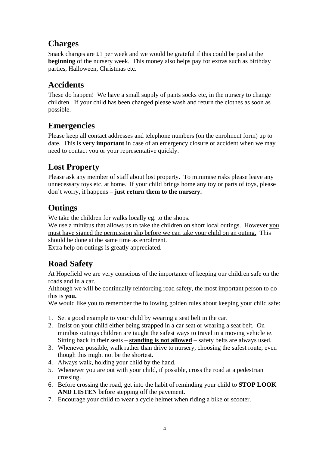#### <span id="page-5-0"></span>**Charges**

Snack charges are £1 per week and we would be grateful if this could be paid at the **beginning** of the nursery week. This money also helps pay for extras such as birthday parties, Halloween, Christmas etc.

#### <span id="page-5-1"></span>**Accidents**

These do happen! We have a small supply of pants socks etc, in the nursery to change children. If your child has been changed please wash and return the clothes as soon as possible.

#### <span id="page-5-2"></span>**Emergencies**

Please keep all contact addresses and telephone numbers (on the enrolment form) up to date. This is **very important** in case of an emergency closure or accident when we may need to contact you or your representative quickly.

# <span id="page-5-3"></span>**Lost Property**

Please ask any member of staff about lost property. To minimise risks please leave any unnecessary toys etc. at home. If your child brings home any toy or parts of toys, please don't worry, it happens – **just return them to the nursery.**

#### <span id="page-5-4"></span>**Outings**

We take the children for walks locally eg. to the shops.

We use a minibus that allows us to take the children on short local outings. However you must have signed the permission slip before we can take your child on an outing. This should be done at the same time as enrolment.

Extra help on outings is greatly appreciated.

# <span id="page-5-5"></span>**Road Safety**

At Hopefield we are very conscious of the importance of keeping our children safe on the roads and in a car.

Although we will be continually reinforcing road safety, the most important person to do this is **you.** 

We would like you to remember the following golden rules about keeping your child safe:

- 1. Set a good example to your child by wearing a seat belt in the car.
- 2. Insist on your child either being strapped in a car seat or wearing a seat belt. On minibus outings children are taught the safest ways to travel in a moving vehicle ie. Sitting back in their seats – **standing is not allowed** – safety belts are always used.
- 3. Whenever possible, walk rather than drive to nursery, choosing the safest route, even though this might not be the shortest.
- 4. Always walk, holding your child by the hand.
- 5. Whenever you are out with your child, if possible, cross the road at a pedestrian crossing.
- 6. Before crossing the road, get into the habit of reminding your child to **STOP LOOK AND LISTEN** before stepping off the pavement.
- 7. Encourage your child to wear a cycle helmet when riding a bike or scooter.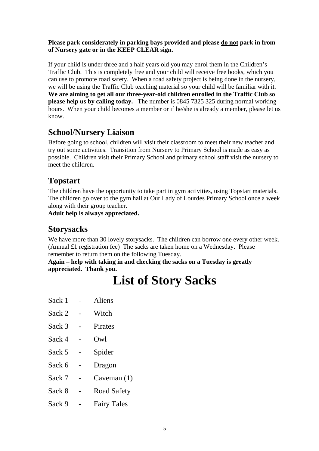#### **Please park considerately in parking bays provided and please do not park in from of Nursery gate or in the KEEP CLEAR sign.**

If your child is under three and a half years old you may enrol them in the Children's Traffic Club. This is completely free and your child will receive free books, which you can use to promote road safety. When a road safety project is being done in the nursery, we will be using the Traffic Club teaching material so your child will be familiar with it. **We are aiming to get all our three-year-old children enrolled in the Traffic Club so please help us by calling today.** The number is 0845 7325 325 during normal working hours. When your child becomes a member or if he/she is already a member, please let us know.

#### <span id="page-6-0"></span>**School/Nursery Liaison**

Before going to school, children will visit their classroom to meet their new teacher and try out some activities. Transition from Nursery to Primary School is made as easy as possible. Children visit their Primary School and primary school staff visit the nursery to meet the children.

#### <span id="page-6-1"></span>**Topstart**

The children have the opportunity to take part in gym activities, using Topstart materials. The children go over to the gym hall at Our Lady of Lourdes Primary School once a week along with their group teacher.

**Adult help is always appreciated.** 

#### <span id="page-6-2"></span>**Storysacks**

We have more than 30 lovely storysacks. The children can borrow one every other week. (Annual £1 registration fee) The sacks are taken home on a Wednesday. Please remember to return them on the following Tuesday.

**Again – help with taking in and checking the sacks on a Tuesday is greatly appreciated. Thank you.** 

# **List of Story Sacks**

- Sack 1 Aliens
- Sack 2 Witch
- Sack 3 Pirates
- Sack 4 Owl
- Sack 5 Spider
- Sack 6 Dragon
- Sack 7 Caveman (1)
- Sack 8 Road Safety
- Sack 9 Fairy Tales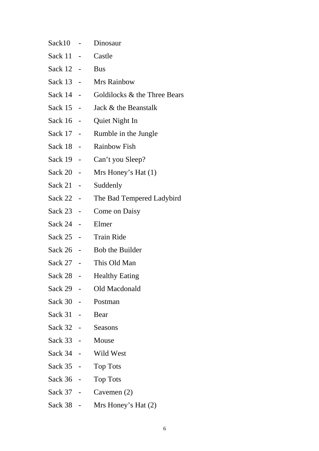| Sack10    |                          | Dinosaur                     |
|-----------|--------------------------|------------------------------|
| Sack 11   | -                        | Castle                       |
| Sack 12   | $\frac{1}{2}$            | <b>Bus</b>                   |
| Sack 13 - |                          | <b>Mrs Rainbow</b>           |
| Sack 14 - |                          | Goldilocks & the Three Bears |
| Sack 15 - |                          | Jack & the Beanstalk         |
| Sack 16   | ÷                        | Quiet Night In               |
| Sack 17   | -                        | Rumble in the Jungle         |
| Sack 18 - |                          | <b>Rainbow Fish</b>          |
| Sack 19 - |                          | Can't you Sleep?             |
| Sack 20   |                          | Mrs Honey's Hat $(1)$        |
| Sack 21   |                          | Suddenly                     |
| Sack 22 - |                          | The Bad Tempered Ladybird    |
| Sack 23   |                          | <b>Come on Daisy</b>         |
| Sack 24   |                          | Elmer                        |
| Sack 25   | ۰                        | <b>Train Ride</b>            |
| Sack 26   | $\overline{\phantom{a}}$ | <b>Bob the Builder</b>       |
| Sack 27 - |                          | This Old Man                 |
| Sack 28   |                          | <b>Healthy Eating</b>        |
| Sack 29   |                          | Old Macdonald                |
| Sack 30 - |                          | Postman                      |
| Sack 31 - |                          | Bear                         |
| Sack 32 - |                          | Seasons                      |
| Sack 33 - |                          | Mouse                        |
| Sack 34 - |                          | Wild West                    |
| Sack 35 - |                          | <b>Top Tots</b>              |
| Sack 36 - |                          | <b>Top Tots</b>              |
| Sack 37 - |                          | Cavemen $(2)$                |
| Sack 38 - |                          | Mrs Honey's Hat $(2)$        |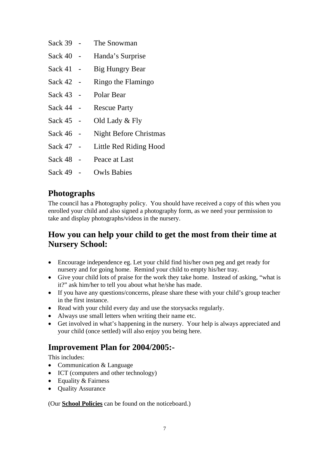- Sack 39 The Snowman
- Sack 40 Handa's Surprise
- Sack 41 Big Hungry Bear
- Sack 42 Ringo the Flamingo
- Sack 43 Polar Bear
- Sack 44 Rescue Party
- Sack 45 Old Lady & Fly
- Sack 46 Night Before Christmas
- Sack 47 Little Red Riding Hood
- Sack 48 Peace at Last
- Sack 49 Owls Babies

#### <span id="page-8-0"></span>**Photographs**

The council has a Photography policy. You should have received a copy of this when you enrolled your child and also signed a photography form, as we need your permission to take and display photographs/videos in the nursery.

#### <span id="page-8-1"></span>**How you can help your child to get the most from their time at Nursery School:**

- Encourage independence eg. Let your child find his/her own peg and get ready for nursery and for going home. Remind your child to empty his/her tray.
- Give your child lots of praise for the work they take home. Instead of asking, "what is it?" ask him/her to tell you about what he/she has made.
- If you have any questions/concerns, please share these with your child's group teacher in the first instance.
- Read with your child every day and use the story sacks regularly.
- Always use small letters when writing their name etc.
- Get involved in what's happening in the nursery. Your help is always appreciated and your child (once settled) will also enjoy you being here.

#### <span id="page-8-2"></span>**Improvement Plan for 2004/2005:-**

This includes:

- Communication & Language
- ICT (computers and other technology)
- Equality & Fairness
- Quality Assurance

(Our **School Policies** can be found on the noticeboard.)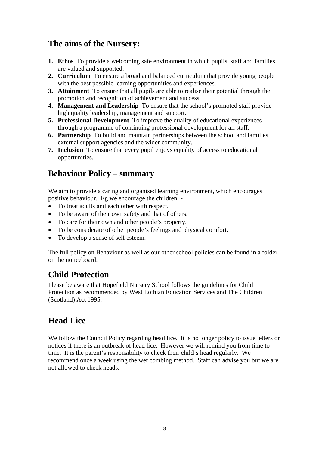#### <span id="page-9-0"></span>**The aims of the Nursery:**

- **1. Ethos** To provide a welcoming safe environment in which pupils, staff and families are valued and supported.
- **2. Curriculum** To ensure a broad and balanced curriculum that provide young people with the best possible learning opportunities and experiences.
- **3. Attainment** To ensure that all pupils are able to realise their potential through the promotion and recognition of achievement and success.
- **4. Management and Leadership** To ensure that the school's promoted staff provide high quality leadership, management and support.
- **5. Professional Development** To improve the quality of educational experiences through a programme of continuing professional development for all staff.
- **6. Partnership** To build and maintain partnerships between the school and families, external support agencies and the wider community.
- **7. Inclusion** To ensure that every pupil enjoys equality of access to educational opportunities.

#### <span id="page-9-1"></span>**Behaviour Policy – summary**

We aim to provide a caring and organised learning environment, which encourages positive behaviour. Eg we encourage the children: -

- To treat adults and each other with respect.
- To be aware of their own safety and that of others.
- To care for their own and other people's property.
- To be considerate of other people's feelings and physical comfort.
- To develop a sense of self esteem.

The full policy on Behaviour as well as our other school policies can be found in a folder on the noticeboard.

#### <span id="page-9-2"></span>**Child Protection**

Please be aware that Hopefield Nursery School follows the guidelines for Child Protection as recommended by West Lothian Education Services and The Children (Scotland) Act 1995.

#### <span id="page-9-3"></span>**Head Lice**

We follow the Council Policy regarding head lice. It is no longer policy to issue letters or notices if there is an outbreak of head lice. However we will remind you from time to time. It is the parent's responsibility to check their child's head regularly. We recommend once a week using the wet combing method. Staff can advise you but we are not allowed to check heads.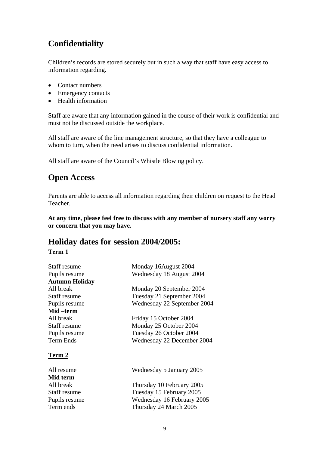# <span id="page-10-0"></span>**Confidentiality**

Children's records are stored securely but in such a way that staff have easy access to information regarding.

- Contact numbers
- Emergency contacts
- Health information

Staff are aware that any information gained in the course of their work is confidential and must not be discussed outside the workplace.

All staff are aware of the line management structure, so that they have a colleague to whom to turn, when the need arises to discuss confidential information.

All staff are aware of the Council's Whistle Blowing policy.

#### <span id="page-10-1"></span>**Open Access**

Parents are able to access all information regarding their children on request to the Head Teacher.

**At any time, please feel free to discuss with any member of nursery staff any worry or concern that you may have.** 

#### <span id="page-10-2"></span>**Holiday dates for session 2004/2005:**

#### **Term 1**

| Staff resume          | Monday 16August 2004        |
|-----------------------|-----------------------------|
| Pupils resume         | Wednesday 18 August 2004    |
| <b>Autumn Holiday</b> |                             |
| All break             | Monday 20 September 2004    |
| Staff resume          | Tuesday 21 September 2004   |
| Pupils resume         | Wednesday 22 September 2004 |
| Mid –term             |                             |
| All break             | Friday 15 October 2004      |
| Staff resume          | Monday 25 October 2004      |
| Pupils resume         | Tuesday 26 October 2004     |
| Term Ends             | Wednesday 22 December 2004  |
| Term 2                |                             |
| All resume            | Wednesday 5 January 2005    |
| Mid term              |                             |
| All break             | Thursday 10 February 2005   |

Staff resume Tuesday 15 February 2005 Pupils resume Wednesday 16 February 2005 Term ends Thursday 24 March 2005